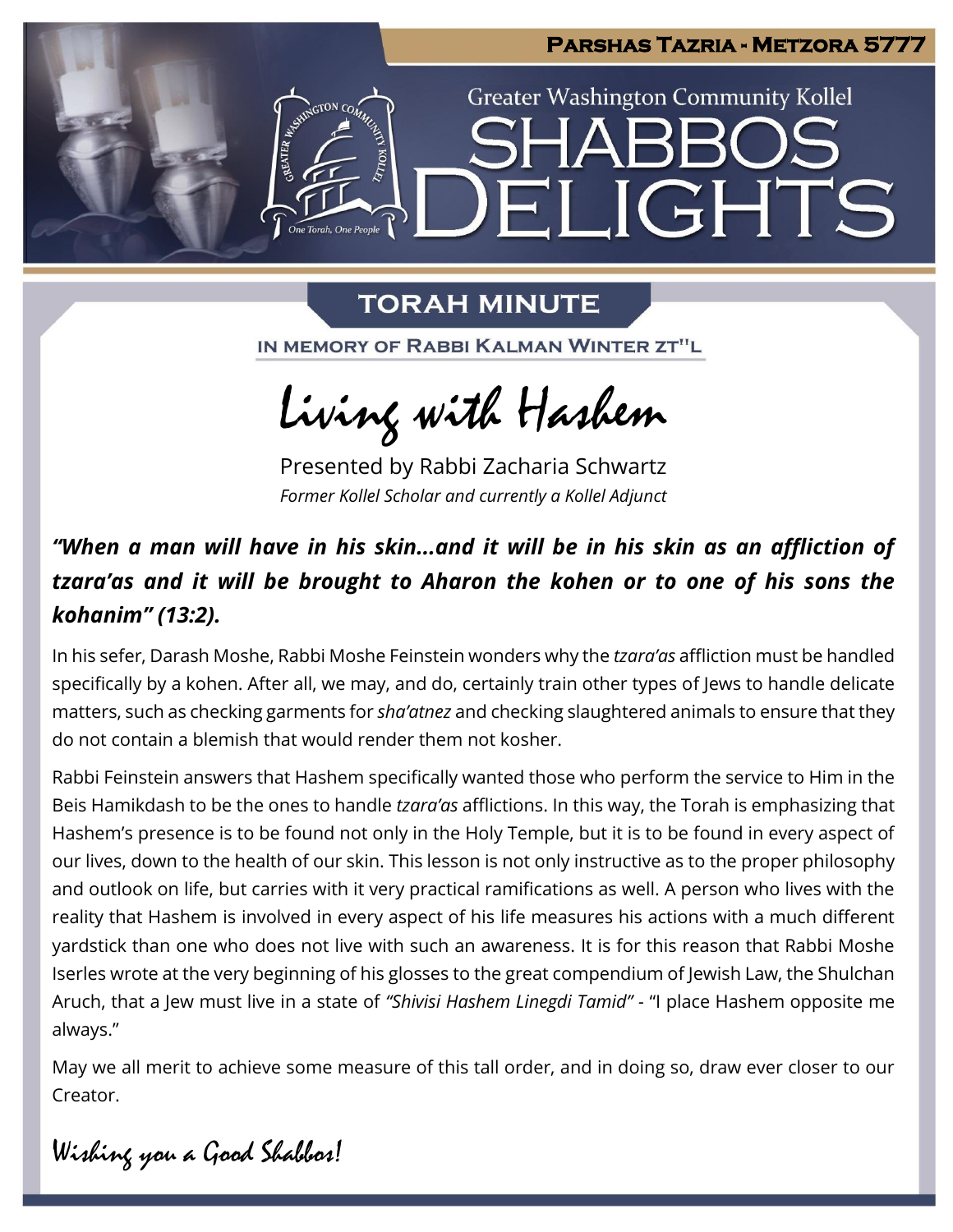

## **TORAH MINUTE**

IN MEMORY OF RABBI KALMAN WINTER ZT"L

Living with Hashem

Presented by Rabbi Zacharia Schwartz *Former Kollel Scholar and currently a Kollel Adjunct*

## *"When a man will have in his skin...and it will be in his skin as an affliction of tzara'as and it will be brought to Aharon the kohen or to one of his sons the kohanim" (13:2).*

In his sefer, Darash Moshe, Rabbi Moshe Feinstein wonders why the *tzara'as* affliction must be handled specifically by a kohen. After all, we may, and do, certainly train other types of Jews to handle delicate matters, such as checking garments for *sha'atnez* and checking slaughtered animals to ensure that they do not contain a blemish that would render them not kosher.

Rabbi Feinstein answers that Hashem specifically wanted those who perform the service to Him in the Beis Hamikdash to be the ones to handle *tzara'as* afflictions. In this way, the Torah is emphasizing that Hashem's presence is to be found not only in the Holy Temple, but it is to be found in every aspect of our lives, down to the health of our skin. This lesson is not only instructive as to the proper philosophy and outlook on life, but carries with it very practical ramifications as well. A person who lives with the reality that Hashem is involved in every aspect of his life measures his actions with a much different yardstick than one who does not live with such an awareness. It is for this reason that Rabbi Moshe Iserles wrote at the very beginning of his glosses to the great compendium of Jewish Law, the Shulchan Aruch, that a Jew must live in a state of *"Shivisi Hashem Linegdi Tamid" -* "I place Hashem opposite me always."

May we all merit to achieve some measure of this tall order, and in doing so, draw ever closer to our Creator.

Wishing you a Good Shabbos!